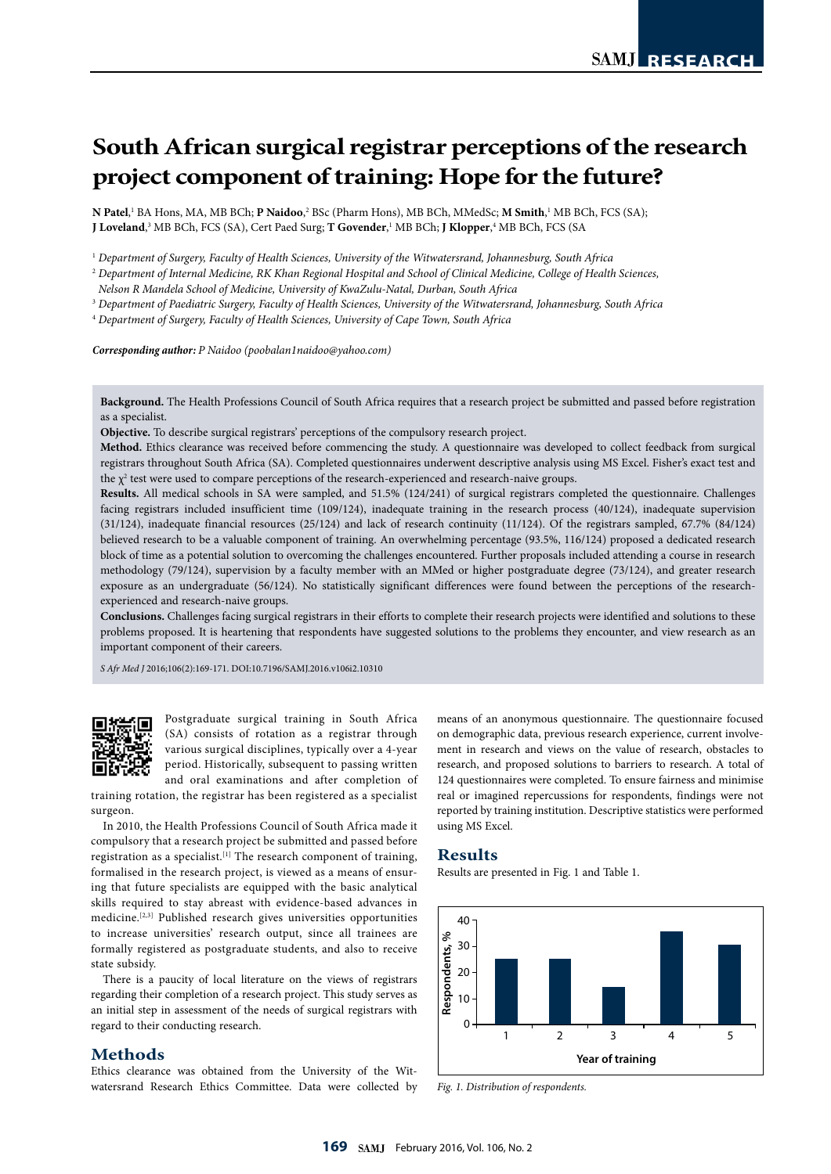# **South African surgical registrar perceptions of the research project component of training: Hope for the future?**

**N Patel**,<sup>1</sup> BA Hons, MA, MB BCh; **P Naidoo**,<sup>2</sup> BSc (Pharm Hons), MB BCh, MMedSc; **M Smith**,<sup>1</sup> MB BCh, FCS (SA); **J Loveland**, $^3$  MB BCh, FCS (SA), Cert Paed Surg; **T Govender**,<sup>1</sup> MB BCh; **J Klopper**,<sup>4</sup> MB BCh, FCS (SA

<sup>1</sup> *Department of Surgery, Faculty of Health Sciences, University of the Witwatersrand, Johannesburg, South Africa*

<sup>2</sup> *Department of Internal Medicine, RK Khan Regional Hospital and School of Clinical Medicine, College of Health Sciences,* 

*Nelson R Mandela School of Medicine, University of KwaZulu-Natal, Durban, South Africa*

<sup>3</sup> *Department of Paediatric Surgery, Faculty of Health Sciences, University of the Witwatersrand, Johannesburg, South Africa*

<sup>4</sup> *Department of Surgery, Faculty of Health Sciences, University of Cape Town, South Africa*

*Corresponding author: P Naidoo (poobalan1naidoo@yahoo.com)*

**Background.** The Health Professions Council of South Africa requires that a research project be submitted and passed before registration as a specialist.

**Objective.** To describe surgical registrars' perceptions of the compulsory research project.

**Method.** Ethics clearance was received before commencing the study. A questionnaire was developed to collect feedback from surgical registrars throughout South Africa (SA). Completed questionnaires underwent descriptive analysis using MS Excel. Fisher's exact test and the  $\chi^2$  test were used to compare perceptions of the research-experienced and research-naive groups.

**Results.** All medical schools in SA were sampled, and 51.5% (124/241) of surgical registrars completed the questionnaire. Challenges facing registrars included insufficient time (109/124), inadequate training in the research process (40/124), inadequate supervision (31/124), inadequate financial resources (25/124) and lack of research continuity (11/124). Of the registrars sampled, 67.7% (84/124) believed research to be a valuable component of training. An overwhelming percentage (93.5%, 116/124) proposed a dedicated research block of time as a potential solution to overcoming the challenges encountered. Further proposals included attending a course in research methodology (79/124), supervision by a faculty member with an MMed or higher postgraduate degree (73/124), and greater research exposure as an undergraduate (56/124). No statistically significant differences were found between the perceptions of the researchexperienced and research-naive groups.

**Conclusions.** Challenges facing surgical registrars in their efforts to complete their research projects were identified and solutions to these problems proposed. It is heartening that respondents have suggested solutions to the problems they encounter, and view research as an important component of their careers.

*S Afr Med J* 2016;106(2):169-171. DOI:10.7196/SAMJ.2016.v106i2.10310



Postgraduate surgical training in South Africa (SA) consists of rotation as a registrar through various surgical disciplines, typically over a 4-year period. Historically, subsequent to passing written and oral examinations and after completion of

training rotation, the registrar has been registered as a specialist surgeon.

In 2010, the Health Professions Council of South Africa made it compulsory that a research project be submitted and passed before registration as a specialist.<sup>[1]</sup> The research component of training, formalised in the research project, is viewed as a means of ensuring that future specialists are equipped with the basic analytical skills required to stay abreast with evidence-based advances in medicine.[2,3] Published research gives universities opportunities to increase universities' research output, since all trainees are formally registered as postgraduate students, and also to receive state subsidy.

There is a paucity of local literature on the views of registrars regarding their completion of a research project. This study serves as an initial step in assessment of the needs of surgical registrars with regard to their conducting research.

## **Methods**

Ethics clearance was obtained from the University of the Witwatersrand Research Ethics Committee. Data were collected by means of an anonymous questionnaire. The questionnaire focused on demographic data, previous research experience, current involvement in research and views on the value of research, obstacles to research, and proposed solutions to barriers to research. A total of 124 questionnaires were completed. To ensure fairness and minimise real or imagined repercussions for respondents, findings were not reported by training institution. Descriptive statistics were performed using MS Excel.

### **Results**

Results are presented in Fig. 1 and Table 1.



*Fig. 1. Distribution of respondents.*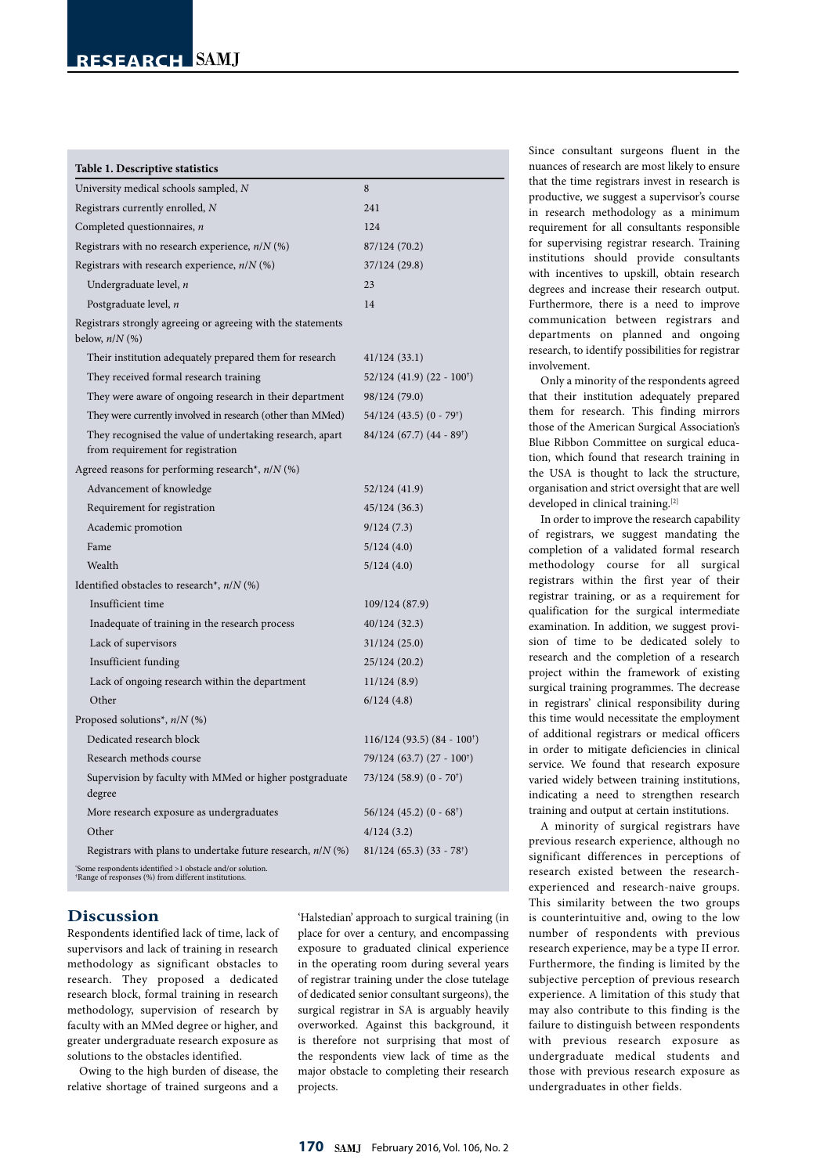| Table 1. Descriptive statistics                                                                                               |                                          |
|-------------------------------------------------------------------------------------------------------------------------------|------------------------------------------|
| University medical schools sampled, N                                                                                         | 8                                        |
| Registrars currently enrolled, N                                                                                              | 241                                      |
| Completed questionnaires, n                                                                                                   | 124                                      |
| Registrars with no research experience, $n/N$ (%)                                                                             | 87/124 (70.2)                            |
| Registrars with research experience, $n/N$ (%)                                                                                | 37/124 (29.8)                            |
| Undergraduate level, n                                                                                                        | 23                                       |
| Postgraduate level, n                                                                                                         | 14                                       |
| Registrars strongly agreeing or agreeing with the statements<br>below, $n/N$ (%)                                              |                                          |
| Their institution adequately prepared them for research                                                                       | 41/124(33.1)                             |
| They received formal research training                                                                                        | $52/124$ (41.9) (22 - 100 <sup>†</sup> ) |
| They were aware of ongoing research in their department                                                                       | 98/124 (79.0)                            |
| They were currently involved in research (other than MMed)                                                                    | $54/124$ (43.5) (0 - 79 <sup>†</sup> )   |
| They recognised the value of undertaking research, apart<br>from requirement for registration                                 | $84/124(67.7)(44-89)$                    |
| Agreed reasons for performing research*, $n/N$ (%)                                                                            |                                          |
| Advancement of knowledge                                                                                                      | 52/124 (41.9)                            |
| Requirement for registration                                                                                                  | 45/124 (36.3)                            |
| Academic promotion                                                                                                            | 9/124(7.3)                               |
| Fame                                                                                                                          | 5/124(4.0)                               |
| Wealth                                                                                                                        | 5/124(4.0)                               |
| Identified obstacles to research <sup>*</sup> , $n/N$ (%)                                                                     |                                          |
| Insufficient time                                                                                                             | 109/124 (87.9)                           |
| Inadequate of training in the research process                                                                                | 40/124 (32.3)                            |
| Lack of supervisors                                                                                                           | 31/124 (25.0)                            |
| Insufficient funding                                                                                                          | 25/124 (20.2)                            |
| Lack of ongoing research within the department                                                                                | 11/124(8.9)                              |
| Other                                                                                                                         | 6/124(4.8)                               |
| Proposed solutions <sup>*</sup> , $n/N$ (%)                                                                                   |                                          |
| Dedicated research block                                                                                                      | 116/124 (93.5) (84 - 100 <sup>†</sup> )  |
| Research methods course                                                                                                       | 79/124 (63.7) (27 - 100 <sup>†</sup> )   |
| Supervision by faculty with MMed or higher postgraduate<br>degree                                                             | 73/124 (58.9) (0 - 70 <sup>†</sup> )     |
| More research exposure as undergraduates                                                                                      | $56/124(45.2)(0-68^{\dagger})$           |
| Other                                                                                                                         | 4/124(3.2)                               |
| Registrars with plans to undertake future research, $n/N$ (%)                                                                 | $81/124(65.3)(33 - 78†)$                 |
| 'Some respondents identified >1 obstacle and/or solution.<br><sup>†</sup> Range of responses (%) from different institutions. |                                          |

# **Discussion**

Respondents identified lack of time, lack of supervisors and lack of training in research methodology as significant obstacles to research. They proposed a dedicated research block, formal training in research methodology, supervision of research by faculty with an MMed degree or higher, and greater undergraduate research exposure as solutions to the obstacles identified.

Owing to the high burden of disease, the relative shortage of trained surgeons and a

'Halstedian' approach to surgical training (in place for over a century, and encompassing exposure to graduated clinical experience in the operating room during several years of registrar training under the close tutelage of dedicated senior consultant surgeons), the surgical registrar in SA is arguably heavily overworked. Against this background, it is therefore not surprising that most of the respondents view lack of time as the major obstacle to completing their research projects.

Since consultant surgeons fluent in the nuances of research are most likely to ensure that the time registrars invest in research is productive, we suggest a supervisor's course in research methodology as a minimum requirement for all consultants responsible for supervising registrar research. Training institutions should provide consultants with incentives to upskill, obtain research degrees and increase their research output. Furthermore, there is a need to improve communication between registrars and departments on planned and ongoing research, to identify possibilities for registrar involvement.

Only a minority of the respondents agreed that their institution adequately prepared them for research. This finding mirrors those of the American Surgical Association's Blue Ribbon Committee on surgical education, which found that research training in the USA is thought to lack the structure, organisation and strict oversight that are well developed in clinical training.<sup>[2]</sup>

In order to improve the research capability of registrars, we suggest mandating the completion of a validated formal research methodology course for all surgical registrars within the first year of their registrar training, or as a requirement for qualification for the surgical intermediate examination. In addition, we suggest provision of time to be dedicated solely to research and the completion of a research project within the framework of existing surgical training programmes. The decrease in registrars' clinical responsibility during this time would necessitate the employment of additional registrars or medical officers in order to mitigate deficiencies in clinical service. We found that research exposure varied widely between training institutions, indicating a need to strengthen research training and output at certain institutions.

A minority of surgical registrars have previous research experience, although no significant differences in perceptions of research existed between the researchexperienced and research-naive groups. This similarity between the two groups is counterintuitive and, owing to the low number of respondents with previous research experience, may be a type II error. Furthermore, the finding is limited by the subjective perception of previous research experience. A limitation of this study that may also contribute to this finding is the failure to distinguish between respondents with previous research exposure as undergraduate medical students and those with previous research exposure as undergraduates in other fields.